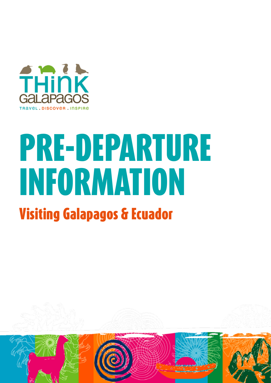

## PRE-DEPARTURE INFORMATION

## Visiting Galapagos & Ecuador

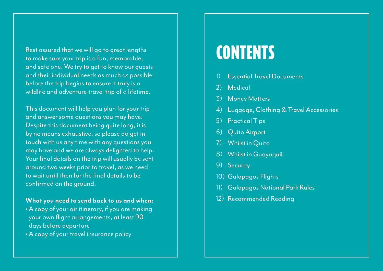Rest assured that we will go to great lengths to make sure your trip is a fun, memorable, and safe one. We try to get to know our guests and their individual needs as much as possible before the trip begins to ensure it truly is a wildlife and adventure travel trip of a lifetime.

This document will help you plan for your trip and answer some questions you may have. Despite this document being quite long, it is by no means exhaustive, so please do get in touch with us any time with any questions you may have and we are always delighted to help. Your final details on the trip will usually be sent around two weeks prior to travel, as we need to wait until then for the final details to be confirmed on the ground.

## **What you need to send back to us and when:**

- A copy of your air itinerary, if you are making your own flight arrangements, at least 90 days before departure
- A copy of your travel insurance policy

## **CONTENTS**

- 1) Essential Travel Documents
- 2) Medical
- **Money Matters**
- 4) Luggage, Clothing & Travel Accessories
- 5) Practical Tips
- 6) Quito Airport
- 7) Whilst in Quito
- 8) Whilst in Guayaquil
- 9) Security
- 10) Galapagos Flights
- 11) Galapagos National Park Rules
- 12) Recommended Reading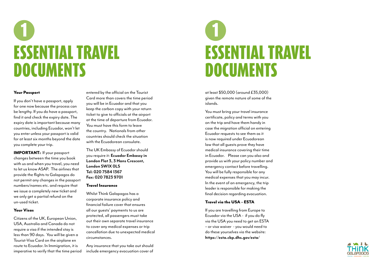### Your Passport

If you don't have a passport, apply for one now because the process can be lengthy. If you do have a passport, find it and check the expiry date. The expiry date is important because many countries, including Ecuador, won't let you enter unless your passport is valid for at least six months beyond the date you complete your trip.

IMPORTANT: If your passport changes between the time you book with us and when you travel, you need to let us know ASAP. The airlines that provide the flights to Galapagos do not permit any changes in the passport numbers/names etc. and require that we issue a completely new ticket and we only get a partial refund on the un-used ticket.

### Your Visas

Citizens of the UK, European Union, USA, Australia and Canada do not require a visa if the intended stay is less than 90 days. You will be given a Tourist-Visa Card on the airplane en route to Ecuador. In Immigration, it is imperative to verify that the time period entered by the official on the Tourist Card more than covers the time period you will be in Ecuador and that you keep the carbon copy with your return ticket to give to officials at the airport at the time of departure from Ecuador. You must have this form to leave the country. Nationals from other countries should check the situation with the Ecuadorean consulate.

The UK Embassy of Ecuador should you require it: **Ecuador Embassy in London Flat 3, 3 Hans Crescent, London SW1X 0LS Tel: 020 7584 1367 Fax: 020 7823 9701**

## 1 ESSENTIAL TRAVEL **DOCUMENTS**

### Travel Insurance

Whilst Think Galapagos has a corporate insurance policy and financial failure cover that ensures all our guests' payments to us are protected, all passengers must take out their own separate travel insurance to cover any medical expenses or trip cancellation due to unexpected medical circumstances.

Any insurance that you take out should include emergency evacuation cover of

## ESSENTIAL TRAVEL **DOCUMENTS** 1

at least \$50,000 (around £35,000) given the remote nature of some of the islands.

You must bring your travel insurance certificate, policy and terms with you on the trip and have them handy in case the migration official on entering Ecuador requests to see them as it is now required under Ecuadorean law that all guests prove they have medical insurance covering their time in Ecuador. Please can you also and provide us with your policy number and emergency contact before travelling. You will be fully responsible for any medical expenses that you may incur. In the event of an emergency, the trip leader is responsible for making the final decision regarding evacuation.

## Travel via the USA – ESTA

If you are travelling from Europe to Ecuador via the USA - if you do fly via the USA you need to get an ESTA – or visa waiver - you would need to do these yourselves via the website: **https://esta.cbp.dhs.gov/esta/** 



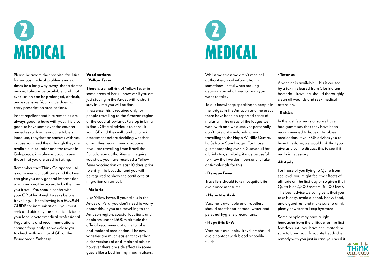Please be aware that hospital facilities for serious medical problems may at times be a long way away, that a doctor may not always be available, and that evacuation can be prolonged, difficult, and expensive. Your guide does not carry prescription medications.

Insect repellent and bite remedies are always good to have with you. It is also good to have some over the counter remedies such as headache tablets, Imodium, rehydration sachets with you in case you need the although they are available in Ecuador and the towns in Galapagos, it is always good to use those that you are used to taking.

Remember that Think Galapagos Ltd is not a medical authority and that we can give you only general information, which may not be accurate by the time you travel. You should confer with your GP at least eight weeks before travelling. The following is a ROUGH GUIDE for immunisation – you must seek and abide by the specific advice of your local doctor/medical professional. Regulations and recommendations change frequently, so we advise you to check with your local GP, or the Ecuadorean Embassy.

## Vaccinations • Yellow Fever

There is a small risk of Yellow Fever in some areas of Peru – however if you are just staying in the Andes with a short stay in Lima you will be fine. In essence this is required only for people travelling to the Amazon region or the coastal lowlands (a stop in Lima is fine). Official advice is to consult your GP and they will conduct a risk assessment before deciding whether or not they recommend a vaccine. If you are travelling from Brazil the Ecuadorean authorities will require you show you have received a Yellow Fever vaccination at least 10 days prior to entry into Ecuador and you will be required to show the certificate at migration on arrival.

### • Malaria

Like Yellow Fever, if your trip is in the Andes of Peru, you don't need to worry about this. If you are travelling to the Amazon region, coastal locations and at places under 1,500m altitude the official recommendation is to take anti-malarial medication. The new varieties are much easier to take than older versions of anti-malarial tablets; however there are side effects in some guests like a bad tummy, mouth ulcers.

## MEDICAL 2

## MEDICAL 2

Whilst we stress we aren't medical authorities, local information is sometimes useful when making decisions on what medications you want to take.

To our knowledge speaking to people in the lodges in the Amazon and the areas there have been no reported cases of malaria in the areas of the lodges we work with and we ourselves personally don't take anti-malarials when travelling to the Napo Wildlife Centre, La Selva or Sani Lodge. For those guests stopping over in Guayaquil for a brief stay, similarly, it may be useful to know that we don't personally take anti-malarials for this.

### • Dengue Fever

Travellers should take mosquito bite avoidance measures.

## • Hepatitis A- A

Vaccine is available and travellers should practise strict food, water and personal hygiene precautions.

## • Hepatitis B- A

Vaccine is available. Travellers should avoid contact with blood or bodily fluids.

### • Tetanus

A vaccine is available. This is caused by a toxin released from Clostridium bacteria. Travellers should thoroughly clean all wounds and seek medical



attention.

## • Rabies

In the last few years or so we have had guests say that they have been recommended to have anti-rabies medication. If your GP advises you to have this done, we would ask that you give us a call to discuss this to see if it really is necessary.

## Altitude

For those of you flying to Quito from sea level, you might feel the effects of altitude on the first day or so given that Quito is at 2,800 meters (9,500 feet). The best advice we can give is that you take it easy, avoid alcohol, heavy food, and cigarettes, and make sure to drink plenty of water to keep hydrated.

Some people may have a light headache from the altitude for the first few days until you have acclimated; be sure to bring your favourite headache remedy with you just in case you need it.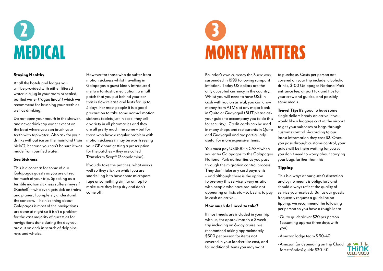## MEDICAL 2

Ecuador's own currency the Sucre was suspended in 1999 following rampant inflation. Today US dollars are the only accepted currency in the country. Whilst you will need to have US\$ in cash with you on arrival, you can draw money from ATM's at any major bank in Quito or Guayaquil (BUT please ask your guide to accompany you to do this for security). Credit cards can be used in many shops and restaurants in Quito and Guayaquil and are particularly useful for more expensive items.

You must pay US\$100 in CASH when you enter Galapagos to the Galapagos National Park authorities as you pass through the migration control process. They don't take any card payments – and although there is the option to pre-pay this service is very erratic with people who have pre-paid not appearing on lists etc – so best is to pay in cash on arrival.

**Travel Tip:** It's good to have some single dollars handy on arrival if you would like a luggage cart at the airport to get your suitcases or bags through customs control. According to our latest information they cost \$2. Once you pass through customs control, your guide will be there waiting for you so you don't need to worry about carrying your bags further than this.

## How much do I need to take?

If most meals are included in your trip with us, for approximately a 2 week trip including an 8-day cruise, we recommend taking approximately \$600 per person for items not covered in your land/cruise cost, and for additional items you may want

to purchase. Costs per person not covered on your trip include: alcoholic drinks, \$100 Galapagos National Park entrance fee, airport tax and tips for your crew and guides, and possibly

some meals.

## Tipping

This is always at our guest's discretion and by no means is obligatory and should always reflect the quality of service you received. But as our guests frequently request a guideline on tipping, we recommend the following per person so you have a rough idea:

• Quito guide/driver \$20 per person (assuming approx three days with

- you)
- 
- 



• Amazon lodge team \$ 30-40

• Amazon (or depending on trip Cloud forest/Andes) guide \$30-40



## MONEY MATTERS 3

## Staying Healthy

At all the hotels and lodges you will be provided with either filtered water in a jug in your room or sealed, bottled water ("agua linda") which we recommend for brushing your teeth as well as drinking.

Do not open your mouth in the shower, and never drink tap water except on the boat where you can brush your teeth with tap water. Also ask for your drinks without ice on the mainland ("sin hielo"), because you can't be sure it was made from purified water.

## Sea Sickness

This is a concern for some of our Galapagos guests as you are at sea for much of your trip. Speaking as a terrible motion sickness sufferer myself (Rachel!) – who even gets sick on trains and planes, I completely understand the concern. The nice thing about Galapagos is most of the navigations are done at night so it isn't a problem for the vast majority of guests as for navigations done during the day you are out on deck in search of dolphins, rays and whales.

However for those who do suffer from motion sickness whilst travelling in Galapagos a guest kindly introduced me to a fantastic medication; a small patch that you put behind your ear that is slow release and lasts for up to 3 days. For most people it is a good precaution to take some normal motion sickness tablets just in case; they sell a variety in all pharmacies and they are all pretty much the same – but for those who have a regular problem with motion sickness it may be worth seeing your GP about getting a prescription for the patches – they are called Transderm Scop® (Scopolamine).

If you do take the patches, what works well so they stick on whilst you are snorkelling is to have some micropore tape or something similar on top to make sure they keep dry and don't come off!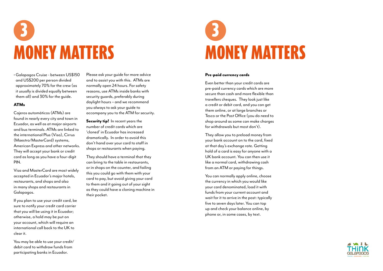• Galapagos Cruise - between US\$150 and US\$200 per person divided approximately 70% for the crew (as it usually is divided equally between them all) and 30% for the guide.

## ATMs

Cajeros automáticos (ATMs) are found in nearly every city and town in Ecuador, as well as at major airports and bus terminals. ATMs are linked to the international Plus (Visa), Cirrus (Maestro/MasterCard) systems, American Express and other networks. They will accept your bank or credit card as long as you have a four-digit PIN.

Visa and MasterCard are most widely accepted in Ecuador's major hotels, restaurants, and shops and also in many shops and restaurants in Galapagos.

Security tip! In recent years the number of credit cards which are 'cloned' in Ecuador has increased dramatically. In order to avoid this don't hand over your card to staff in shops or restaurants when paying.

If you plan to use your credit card, be sure to notify your credit card carrier that you will be using it in Ecuador; otherwise, a hold may be put on your account, which will require an international call back to the UK to clear it.

You may be able to use your credit/ debit card to withdraw funds from participating banks in Ecuador.

Please ask your guide for more advice and to assist you with this. ATMs are normally open 24 hours. For safety reasons, use ATMs inside banks with security guards, preferably during daylight hours – and we recommend you always to ask your guide to accompany you to the ATM for security.

They should have a terminal that they can bring to the table in restaurants, or in shops on the counter, and failing this you could go with them with your card to pay, but avoid giving your card to them and it going out of your sight as they could have a cloning machine in their pocket.



### Pre-paid currency cards

Even better than your credit cards are pre-paid currency cards which are more secure than cash and more flexible than travellers cheques. They look just like a credit or debit card, and you can get them online, or at large branches or Tesco or the Post Office (you do need to shop around as some can make charges for withdrawals but most don't).

They allow you to preload money from your bank account on to the card, fixed at that day's exchange rate. Getting hold of a card is easy for anyone with a UK bank account. You can then use it like a normal card, withdrawing cash from an ATM or paying for things.

You can normally apply online, choose the currency in which you would like your card denominated, load it with funds from your current account and wait for it to arrive in the post: typically five to seven days later. You can top up and check your balance online, by phone or, in some cases, by text.





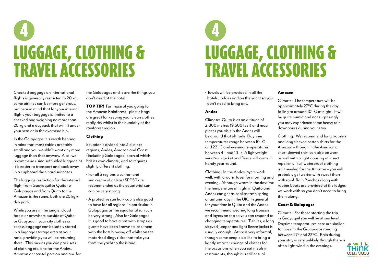Checked baggage on international flights is generally restricted to 20 kg, some airlines can be more generous, but bear in mind that for your internal flights your baggage is limited to a checked bag weighing no more than 20 kg and a daypack that will fit under your seat or in the overhead bin.

In the Galapagos it is worth bearing in mind that most cabins are fairly small and you wouldn't want any more luggage than that anyway. Also, we recommend using soft-sided luggage as it is easier to transport and pack away in a cupboard than hard suitcases.

**TOP TIP!** For those of you going to the Amazon Rainforest - plastic bags are great for keeping your clean clothes really dry whilst in the humidity of the rainforest region.

The luggage restriction for the internal flight from Guayaquil or Quito to Galapagos and from Quito to the Amazon is the same, both are 20 kg + day pack.

While you are in the jungle, cloud forest or anywhere outside of Quito or Guayaquil, your city clothes or excess baggage can be safely stored in a luggage storage area at your hotel providing you will be returning there. This means you can pack sets of clothing etc, one for the Andes, Amazon or coastal portion and one for the Galapagos and leave the things you don't need at the hotel.

## Clothing

Ecuador is divided into 3 distinct regions, Andes, Amazon and Coast (including Galapagos) each of which has its own climate, and so requires slightly different clothing.

- For all 3 regions a sunhat and sun cream of at least SPF 50 are recommended as the equatorial sun can be very strong.
- A protective sun hat/ cap is also good to have for all regions, in particular in Galapagos as the equatorial sun can be very strong. Also for Galapagos it is good to have a hat with straps as guests have been known to lose them with the hats blowing off whilst on the motorised dingy rides that take you from the yacht to the island!

• Towels will be provided in all the hotels, lodges and on the yacht so you don't need to bring any.

### Andes

Climate: Quito is at an altitude of 2,800 metres (9,500 feet) and most places you visit in the Andes will be around that altitude. Daytime temperatures range between 10 C and 22 C and evening temperatures between 4 and 10 c. A lightweight wind/rain jacket and fleece will come in handy year-round.

Clothing: In the Andes layers work well, with a warm layer for morning and evening. Although warm in the daytime the temperature at night in Quito and Andes can get as cool as fresh spring or autumn day in the UK. In general for your time in Quito and the Andes we recommend wearing long trousers and layers on top so you can respond to changing temperatures! T-shirts, a long sleeved jumper and light fleece jacket is usually enough. Attire is very informal, though some people do like to bring a lightly smarter change of clothes for the occasions when you eat meals in restaurants, though it is still casual.

### Amazon

Climate: The temperature will be approximately 27°C during the day, falling to around 10° C at night. It will be quite humid and not surprisingly you may experience some heavy rain downpours during your stay.

Clothing: We recommend long trousers and long sleeved cotton shirts for the Amazon – though in the Amazon a short sleeved shirt can also be worn as well with a light dousing of insect repellent. Full waterproof clothing isn't needed for the Amazon – you will probably get wetter with sweat than with rain! Rain Ponchos along with rubber boots are provided at the lodges we work with so you don't need to bring

them along.

## Coast & Galapagos

Climate: For those starting the trip in Guayaquil you will be at sea level. Daytime temperatures here are similar to those in the Galapagos ranging between 27° and 22°C. Rain during your stay is very unlikely though there is often light wind in the evenings.



## LUGGAGE, CLOTHING & TRAVEL ACCESSORIES 4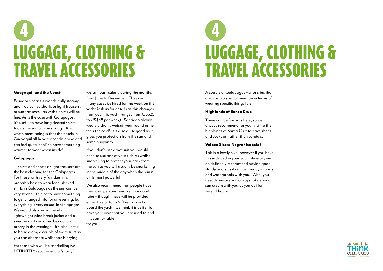### Guayaquil and the Coast

Ecuador's coast is wonderfully steamy and tropical, so shorts or light trousers, or sundresses/skirts with t-shirts will be fine. As is the case with Galapagos, It's useful to have long sleeved shirts too as the sun can be strong. Also worth mentioning is that the hotels in Guayaquil all have air conditioning and can feel quite 'cool' so have something warmer to wear when inside!

### Galapagos

 T-shirts and shorts or light trousers are the best clothing for the Galapagos. For those with very fair skin, it is probably best to wear long-sleeved shirts in Galapagos as the sun can be very strong. It's nice to have something to get changed into for an evening, but everything is very casual in Galapagos. We would also recommend a lightweight wind break jacket and a sweater as it can often be cool and breezy in the evenings. It's also useful to bring along a couple of swim suits so you can alternate whilst one is drying.

For those who will be snorkelling we DEFINITELY recommend a 'shorty'

wetsuit particularly during the months from June to December. They can in many cases be hired for the week on the yacht (ask us for details as this changes from yacht to yacht ranges from US\$25 to US\$45 per week). Santiago always wears a shorty wetsuit year round as he feels the cold! It is also quite good as it gives you protection from the sun and some buoyancy.

If you don't use a wet suit you would need to use one of your t-shirts whilst snorkelling to protect your back from the sun as you will usually be snorkelling in the middle of the day when the sun is at its most powerful.

We also recommend that people have their own personal snorkel mask and tube – though these will be provided either free or for a \$10 rental cost on board the yacht, we think it is better to have your own that you are used to and it is comfortable for you.

## LUGGAGE, CLOTHING & TRAVEL ACCESSORIES 4

A couple of Galapagos visitor sites that are worth a special mention in terms of wearing specific things for:

### Highlands of Santa Cruz

There can be fire ants here, so we always recommend for your visit to the highlands of Santa Cruz to have shoes and socks on rather than sandals.

## Volcan Sierra Negra (Isabela)

This is a lovely hike, however if you have this included in your yacht itinerary we do definitely recommend having good sturdy boots as it can be muddy in parts and waterproofs with you. Also, you need to ensure you always take enough sun cream with you as you out for several hours.

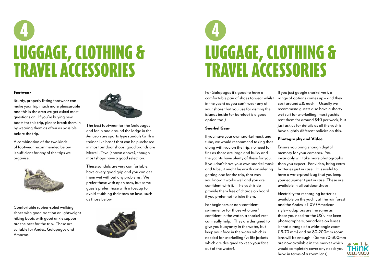For Galapagos it's good to have a comfortable pair of shoes to wear whilst in the yacht as you can't wear any of your shoes that you use for visiting the islands inside (or barefoot is a good option too!)

### Snorkel Gear

If you have your own snorkel mask and tube, we would recommend taking that along with you on the trip, no need for fins as those are large and bulky and the yachts have plenty of these for you. If you don't have your own snorkel mask and tube, it might be worth considering getting one for the trip, that way you know it works well and you are confident with it. The yachts do provide them free of charge on board if you prefer not to take them.

For beginners or non-confident swimmer or for those who aren't confident in the water, a snorkel vest can really help. They are designed to give you buoyancy in the water, but keep your face in the water which is needed for snorkelling (vs life jackets which are designed to keep your face out of the water).

If you just google snorkel vest, a range of options comes up – and they cost around £15 each. Usually we recommend guests also have a shorty wet suit for snorkelling, most yachts rent them for around \$40 per week, but just ask us for details as all the yachts have slightly different policies on this.

## Photography and Video

Ensure you bring enough digital memory for your cameras. You invariably will take more photographs than you expect. For video, bring extra batteries just in case. It is useful to have a waterproof bag that you keep your equipment just in case. These are available in all outdoor shops.



Electricity for recharging batteries available on the yacht, at the rainforest and the Andes is 110V (American style – adaptors are the same as those you need for the US). For keen photographers, our advice on lenses is that a range of a wide-angle zoom (16-70 mm) and an 80-200mm zoom lens will be enough. (Some 70-300mm are now available in the market which would completely cover any needs you have in terms of a zoom lens).

### Footwear

Sturdy, properly fitting footwear can make your trip much more pleasurable and this is the area we get asked most questions on. If you're buying new boots for this trip, please break them in by wearing them as often as possible before the trip.

A combination of the two kinds of footwear recommended below is sufficient for any of the trips we organise.



Comfortable rubber-soled walking shoes with good traction or lightweight hiking boots with good ankle support are the best for the trip. These are suitable for Andes, Galapagos and Amazon.



The best footwear for the Galapagos and for in and around the lodge in the Amazon are sports type sandals (with a trainer like base) that can be purchased in most outdoor shops, good brands are Merrell, Teva (shown above), though most shops have a good selection.

These sandals are very comfortable, have a very good grip and you can get them wet without any problems. We prefer those with open toes, but some guests prefer those with a toecap to avoid stubbing their toes on lava, such as those below.



## LUGGAGE, CLOTHING & TRAVEL ACCESSORIES 4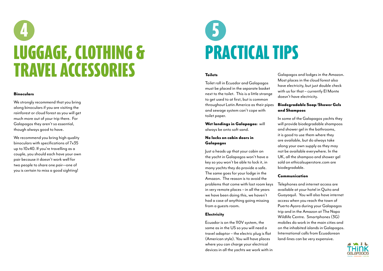## Binoculars

We strongly recommend that you bring along binoculars if you are visiting the rainforest or cloud forest as you will get much more out of your trip there. For Galapagos they aren't so essential, though always good to have.

We recommend you bring high quality binoculars with specifications of 7x35 up to 10x40. If you're travelling as a couple, you should each have your own pair because it doesn't work well for two people to share one pair—one of you is certain to miss a good sighting!

## PRACTICAL TIPS 5

### **Toilets**

Toilet roll in Ecuador and Galapagos must be placed in the separate basket next to the toilet. This is a little strange to get used to at first, but is common throughout Latin America as their pipes and sewage system can't cope with toilet paper.

Wet landings in Galapagos: will always be onto soft sand.

### No locks on cabin doors in Galapagos

Just a heads up that your cabin on the yacht in Galapagos won't have a key so you won't be able to lock it, in many yachts they do provide a safe. The same goes for your lodge in the Amazon. The reason is to avoid the problems that come with lost room keys in very remote places – in all the years we have been doing this, we haven't had a case of anything going missing from a guests room.

## **Electricity**

Ecuador is on the 110V system, the same as in the US so you will need a travel adaptor – the electric plug is flat (American style). You will have places where you can charge your electrical devices in all the yachts we work with in

Galapagos and lodges in the Amazon. Most places in the cloud forest also have electricity, but just double check with us for that – currently El Monte doesn't have electricity.



## Biodegradable Soap/Shower Gels and Shampoos

In some of the Galapagos yachts they will provide biodegradable shampoos and shower gel in the bathrooms, it is good to use them where they are available, but do always take along your own supply as they may not be available everywhere. In the UK, all the shampoo and shower gel sold on ethicalsuperstore.com are biodegradable.

## Communication

Telephones and internet access are available at your hotel in Quito and Guayaquil. You will also have internet access when you reach the town of Puerto Ayora during your Galapagos trip and in the Amazon at The Napo Wildlife Centre. Smartphones (3G) mobiles do work in the main cities and on the inhabited islands in Galapagos. International calls from Ecuadorean land-lines can be very expensive.

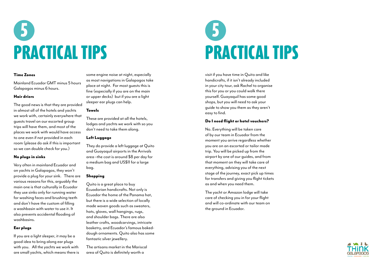

## PRACTICAL TIPS 5

## Time Zones

Mainland Ecuador GMT minus 5 hours Galapagos minus 6 hours.

## Hair driers

The good news is that they are provided in almost all of the hotels and yachts we work with, certainly everywhere that guests travel on our escorted group trips will have them, and most of the places we work with would have access to one even if not provided in each room (please do ask if this is important so we can double check for you.)

## No plugs in sinks

Very often in mainland Ecuador and on yachts in Galapagos, they won't provide a plug for your sink. There are various reasons for this, arguably the main one is that culturally in Ecuador they use sinks only for running water for washing faces and brushing teeth and don't have the custom of filling a washbasin with water to use it. It also prevents accidental flooding of washbasins.

## Ear plugs

If you are a light sleeper, it may be a good idea to bring along ear plugs with you. All the yachts we work with are small yachts, which means there is some engine noise at night, especially as most navigations in Galapagos take place at night. For most guests this is fine (especially if you are on the main or upper decks) but if you are a light sleeper ear plugs can help.

### Towels

These are provided at all the hotels, lodges and yachts we work with so you don't need to take them along.

## Left Luggage

They do provide a left luggage at Quito and Guayaquil airports in the Arrivals area –the cost is around \$8 per day for a medium bag and US\$11 for a large bag.

### Shopping

Quito is a great place to buy Ecuadorian handicrafts. Not only is Ecuador the home of the Panama hat, but there is a wide selection of locally made woven goods such as sweaters, hats, gloves, wall hangings, rugs, and shoulder bags. There are also leather crafts, woodcarvings, intricate basketry, and Ecuador's famous bakeddough ornaments. Quito also has some fantastic silver jewellery.

The artisans market in the Mariscal area of Quito is definitely worth a

visit if you have time in Quito and like handicrafts, if it isn't already included in your city tour, ask Rachel to organise this for you or you could walk there yourself. Guayaquil has some good shops, but you will need to ask your guide to show you them as they aren't easy to find.

## Do I need flight or hotel vouchers?

No. Everything will be taken care of by our team in Ecuador from the moment you arrive regardless whether you are on an escorted or tailor made trip. You will be picked up from the airport by one of our guides, and from that moment on they will take care of everything, advising you of the next stage of the journey, exact pick up times for transfers and giving you flight tickets as and when you need them.

The yacht or Amazon lodge will take care of checking you in for your flight and will co-ordinate with our team on the ground in Ecuador.



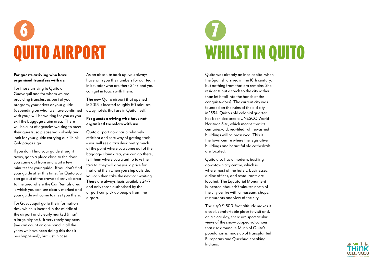## QUITO AIRPORT 6

## For guests arriving who have organised transfers with us:

For those arriving to Quito or Guayaquil and for whom we are providing transfers as part of your program, your driver or your guide (depending on what we have confirmed with you) will be waiting for you as you exit the baggage claim area. There will be a lot of agencies waiting to meet their guests, so please walk slowly and look for your guide carrying our Think Galapagos sign.

If you don't find your guide straight away, go to a place close to the door you came out from and wait a few minutes for your guide. If you don't find your guide after this time, for Quito you can go out of the crowded arrivals area to the area where the Car Rentals area is which you can see clearly marked and your guide will come to meet you there.

For Guyayaquil go to the information desk which is located in the middle of the airport and clearly marked (it isn't a large airport). It very rarely happens (we can count on one hand in all the years we have been doing this that it has happened), but just in case!

As an absolute back up, you always have with you the numbers for our team in Ecuador who are there 24/7 and you can get in touch with them.

The new Quito airport that opened in 2013 is located roughly 60 minutes away hotels that are in Quito itself.

## For guests arriving who have not organised transfers with us:

Quito airport now has a relatively efficient and safe way of getting taxis – you will see a taxi desk pretty much at the point where you come out of the baggage claim area, you can go there, tell them where you want to take the taxi to, they will give you a price for that and then when you step outside, you can then take the next car waiting. There are always taxis available 24/7 and only those authorised by the airport can pick up people from the airport.

Quito was already an Inca capital when the Spanish arrived in the 16th century, but nothing from that era remains (the residents put a torch to the city rather than let it fall into the hands of the conquistadors). The current city was founded on the ruins of the old city in 1534. Quito's old colonial quarter has been declared a UNESCO World Heritage Site, which means that its centuries-old, red-tiled, whitewashed buildings will be preserved. This is the town centre where the legislative buildings and beautiful old cathedrals are located.

Quito also has a modern, bustling downtown city centre, which is where most of the hotels, businesses, airline offices, and restaurants are located. The Equatorial Monument is located about 40 minutes north of the city centre with a museum, shops, restaurants and view of the city.

The city's 9,500-foot altitude makes it a cool, comfortable place to visit and, on a clear day, there are spectacular views of the snow-capped volcanoes that rise around it. Much of Quito's population is made up of transplanted Europeans and Quechua-speaking Indians.





## WHILST IN QUITO 7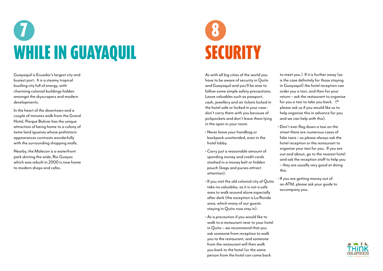Guayaquil is Ecuador's largest city and busiest port. It is a steamy tropical bustling city full of energy, with charming colonial buildings hidden amongst the skyscrapers and modern developments.

In the heart of the downtown and a couple of minutes walk from the Grand Hotel, Parque Bolivar has the unique attraction of being home to a colony of tame land iguanas whose prehistoric appearances contrasts wonderfully with the surrounding shopping malls.

Nearby, the Malecon is a waterfront park skirting the wide, Rio Guayas which was rebuilt in 2000 is now home to modern shops and cafes.

## WHILE IN GUAYAQUIL 7

As with all big cities of the world you have to be aware of security in Quito and Guayaquil and you'll be wise to follow some simple safety precautions. Leave valuables such as passport, cash, jewellery and air tickets locked in the hotel safe or locked in your case don't carry them with you because of pickpockets and don't leave them lying in the open in your room.

## **SECURITY** 8

- Never leave your handbag or backpack unattended, even in the hotel lobby.
- Carry just a reasonable amount of spending money and credit cards stashed in a money belt or hidden pouch (bags and purses attract attention).
- If you visit the old colonial city of Quito take no valuables, as it is not a safe area to walk around alone especially after dark (the exception is La Ronda area, which many of our guests staying in Quito now stay in).
- As a precaution if you would like to walk to a restaurant near to your hotel in Quito – we recommend that you ask someone from reception to walk you to the restaurant, and someone from the restaurant will then walk you back to the hotel (or the same person from the hotel can come back
- 

to meet you.) If it is further away (as is the case definitely for those staying in Guayaquil) the hotel reception can order you a taxi, and then for your return – ask the restaurant to organise for you a taxi to take you back. (\* please ask us if you would like us to help organise this in advance for you and we can help with this).

• Don't ever flag down a taxi on the street there are numerous cases of fake taxis – so please always ask the hotel reception or the restaurant to organise your taxi for you. If you are out and about, go to the nearest hotel and ask the reception staff to help you – they are usually very good at doing

this.

• If you are getting money out of an ATM, please ask your guide to accompany you.

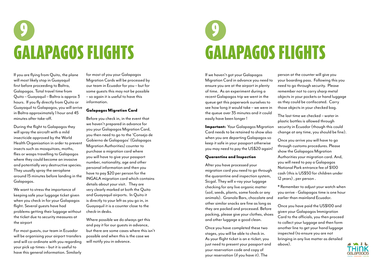If you are flying from Quito, the plane will most likely stop in Guayaquil first before proceeding to Baltra, Galapagos. Total travel time from Quito – Guayaquil – Baltra is approx 3 hours. If you fly directly from Quito or Guayaquil to Galapagos, you will arrive in Baltra approximately 1 hour and 45 minutes after take-off.

During the flight to Galapagos they will spray the aircraft with a mild insecticide approved by the World Health Organisation in order to prevent insects such as mosquitoes, moths, flies or wasps travelling to Galapagos where they could become an invasive and potentially very destructive species. They usually spray the aeroplane around 15 minutes before landing in the Galapagos.

We want to stress the importance of keeping safe your luggage ticket given when you check in for your Galapagos flight. Several guests have had problems getting their luggage without the ticket due to security measures at the airport

For most guests, our team in Ecuador will be organising your airport transfers and will co-ordinate with you regarding your pick up times – but it is useful to have this general information. Similarly

for most of you your Galapagos Migration Cards will be processed by our team in Ecuador for you – but for some guests this may not be possible – so again it is useful to have this information.

## Galapagos Migration Card

Before you check in, in the event that we haven't prepared in advance for you your Galapagos Migration Card, you then need to go to the 'Consejo de Gobierno de Galapagos' (Galapagos Migration Authorities) counter to purchase a migration card where you will have to give your passport number, nationality, age and other personal information and then you have to pay \$20 per person for the INGALA migration card which contains details about your visit. They are very clearly marked at both the Quito and Guayaquil airports. In Quito it is directly to your left as you go in, in Guayaquil it is a counter close to the check-in desks.

Where possible we do always get this and pay it for our guests in advance, but there are some cases where this isn't possible and when this is the case we will notify you in advance.

## GALAPAGOS FLIGHTS 9

If we haven't got your Galapagos Migration Card in advance you need to ensure you are at the airport in plenty of time. As an experiment during a recent Galapagos trip we went in the queue get this paperwork ourselves to see how long it would take – we were in the queue over 35 minutes and it could easily have been longer !

Important: Your Galapagos Migration Card needs to be retained to show also when you are departing Galapagos so keep it safe in your passport otherwise you may need to pay the US\$20 again!

## Quarantine and Inspection

After you have processed your migration card you need to go through the quarantine and inspection system, Sicgal. They will x-ray your luggage checking for any live organic matter (soil, seeds, plants, some foods or any animals). Granola Bars, chocolate and other similar snacks are fine as long as they are packed and processed. Before packing, please give your clothes, shoes and other luggage a good clean.

Once you have completed these two stages, you will be able to check in. As your flight ticket is an e-ticket, you just need to present your passport and your reservation code and copy of your reservation (if you have it). The

person at the counter will give you your boarding pass. Following this you need to go through security. Please remember not to carry sharp metal objects in your pockets or hand luggage as they could be confiscated. Carry those objects in your checked bag.



The last time we checked – water in plastic bottles is allowed through security in Ecuador (though this could change at any time, you should be fine).

Once you arrive you will have to go through customs procedures. Please show the Galapagos Migration Authorities your migration card. And, you will need to pay a Galapagos National Park entrance fee of \$100 cash (this is US\$50 for children under 12 years) , per person .

\* Remember to adjust your watch when you arrive - Galapagos time is one hour earlier than mainland Ecuador.

Once you have paid the US\$100 and given your Galapagos Immigration Card to the officials, you then proceed to collect your luggage and then form another line to get your hand luggage inspected (to ensure you are not bringing in any live matter as detailed above).



## GALAPAGOS FLIGHTS 9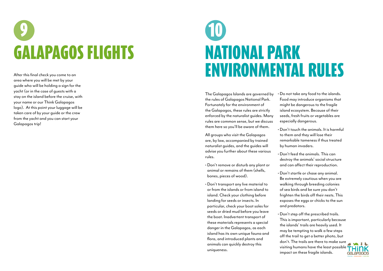# **GALAPAGOS FLIGHTS**

After this final check you come to an area where you will be met by your guide who will be holding a sign for the yacht (or in the case of guests with a stay on the island before the cruise, with your name or our Think Galapagos logo). At this point your luggage will be taken care of by your guide or the crew from the yacht and you can start your Galapagos trip!

## NATIONAL PARK ENVIRONMENTAL RULES 10

The Galapagos Islands are governed by the rules of Galapagos National Park. Fortunately for the environment of the Galapagos, these rules are strictly enforced by the naturalist guides. Many rules are common sense, but we discuss them here so you'll be aware of them.

All groups who visit the Galapagos are, by law, accompanied by trained naturalist guides, and the guides will advise you further about these various rules.

- Don't remove or disturb any plant or animal or remains of them (shells, bones, pieces of wood).
- Don't transport any live material to or from the islands or from island to island. Check your clothing before landing for seeds or insects. In particular, check your boot soles for seeds or dried mud before you leave the boat. Inadvertent transport of these materials represents a special danger in the Galapagos, as each island has its own unique fauna and flora, and introduced plants and animals can quickly destroy this uniqueness.
- 
- 
- 
- 
- 

• Do not take any food to the islands. Food may introduce organisms that might be dangerous to the fragile island ecosystem. Because of their seeds, fresh fruits or vegetables are especially dangerous.

• Don't touch the animals. It is harmful to them and they will lose their remarkable tameness if thus treated by human invaders.

• Don't feed the animals. This can destroy the animals' social structure and can affect their reproduction.

• Don't startle or chase any animal. Be extremely cautious when you are walking through breeding colonies of sea birds and be sure you don't frighten the birds off their nests. This exposes the eggs or chicks to the sun and predators.

• Don't step off the prescribed trails. This is important, particularly because the islands' trails are heavily used. It may be tempting to walk a few steps off the trail to get a better photo, but don't. The trails are there to make sure visiting humans have the least possible impact on these fragile islands.

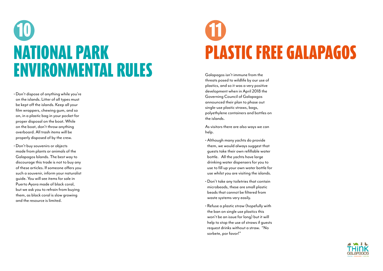## NATIONAL PARK ENVIRONMENTAL RULES 10

- Don't dispose of anything while you're on the islands. Litter of all types must be kept off the islands. Keep all your film wrappers, chewing gum, and so on, in a plastic bag in your pocket for proper disposal on the boat. While on the boat, don't throw anything overboard. All trash items will be properly disposed of by the crew.
- Don't buy souvenirs or objects made from plants or animals of the Galapagos Islands. The best way to discourage this trade is not to buy any of these articles. If someone offers you such a souvenir, inform your naturalist guide. You will see items for sale in Puerto Ayora made of black coral, but we ask you to refrain from buying them, as black coral is slow growing and the resource is limited.

## PLASTIC FREE GALAPAGOS 11

Galapagos isn't immune from the threats posed to wildlife by our use of plastics, and so it was a very positive development when in April 2018 the Governing Council of Galapagos announced their plan to phase out single-use plastic straws, bags, polyethylene containers and bottles on the islands.

As visitors there are also ways we can help.

- Although many yachts do provide them, we would always suggest that guests take their own refillable water bottle. All the yachts have large drinking water dispensers for you to use to fill up your own water bottle for use whilst you are visiting the islands.
- Don't take any toiletries that contain microbeads, these are small plastic beads that cannot be filtered from waste systems very easily.
- Refuse a plastic straw (hopefully with the ban on single use plastics this won't be an issue for long) but it will help to stop the use of straws if guests request drinks without a straw. "No sorbete, por favor!"



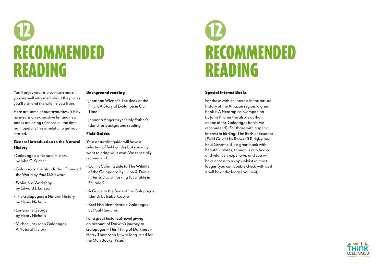## RECOMMENDED READING 12

You'll enjoy your trip so much more if you are well informed about the places you'll visit and the wildlife you'll see.

## General introduction to the Natural **History**

Here are some of our favourites, it is by no means an exhaustive list and new books are being released all the time, but hopefully this is helpful to get you started.

- Galapagos: a Natural History by John C.Kricher
- Galapagos: the Islands that Changed the World by Paul D.Steward
- Evolutions Workshop by Edward J. Larsson
- The Galapagos: a Natural History by Henry Nicholls
- Lonesome George by Henry Nicholls
- Michael Jackson's Galapagos, A Natural History

## Background reading

- Jonathan Wiener's The Beak of the Finch, A Story of Evolution in Our Time
- Johanna Angermeyer's My Father's Island for background reading.

## Field Guides

Your naturalist guide will have a selection of field guides but you may want to bring your own. We especially recommend

- Collins Safari Guide to The Wildlife of the Galapagos by Julian & Daniel Fitter & David Hosking (available in Ecuador)
- A Guide to the Birds of the Galapagos Islands by Isabel Castro
- Reef Fish Identification Galapagos by Paul Humann.

For a great historical novel giving an account of Darwin's journey to Galapagos – This Thing of Darkness – Harry Thompson (it was long listed for the Man Booker Prize)

## Special Interest Books

For those with an interest in the natural history of the Amazon region, a great book is A Neotropical Companion by John Kricher (he also is author of one of the Galapagos books we recommend). For those with a special interest in birding, The Birds of Ecuador (Field Guide) by Robert R Ridgley and Paul Greenfield is a great book with beautiful plates, though is very heavy and relatively expensive, and you will have access to a copy whilst at most lodges (you can double check with us if it will be at the lodges you visit).





## RECOMMENDED READING 12